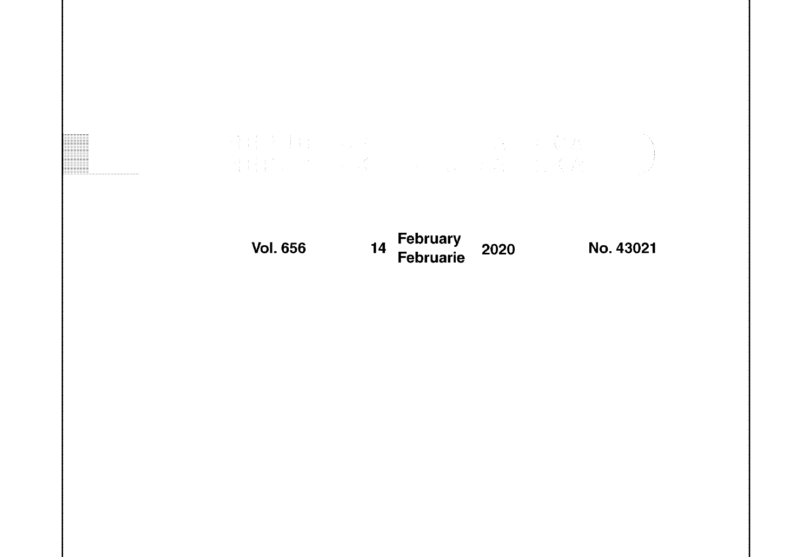# Vol. 656 14 February Februarie 2020 No. 43021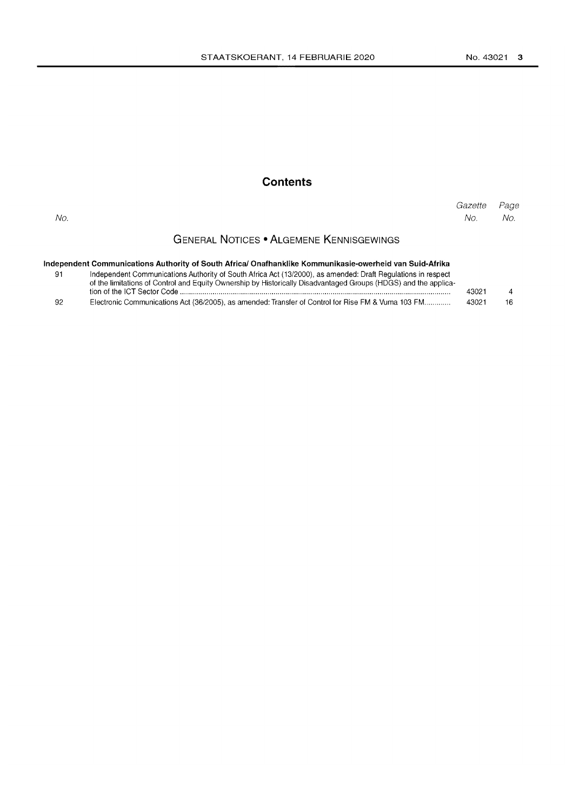### **Contents**

| No. |                                                 | Gazette Page<br>No l | No. |
|-----|-------------------------------------------------|----------------------|-----|
|     | <b>GENERAL NOTICES • ALGEMENE KENNISGEWINGS</b> |                      |     |

| Independent Communications Authority of South Africa/ Onafhanklike Kommunikasie-owerheid van Suid-Afrika |
|----------------------------------------------------------------------------------------------------------|

| - 91 | Independent Communications Authority of South Africa Act (13/2000), as amended: Draft Regulations in respect    |       |             |
|------|-----------------------------------------------------------------------------------------------------------------|-------|-------------|
|      | of the limitations of Control and Equity Ownership by Historically Disadvantaged Groups (HDGS) and the applica- |       |             |
|      |                                                                                                                 | 43021 | $\mathbf 4$ |
|      |                                                                                                                 |       |             |

| 92 |  | Electronic Communications Act (36/2005), as amended: Transfer of Control for Rise FM & Vuma 103 FM | 43021 | -16 |
|----|--|----------------------------------------------------------------------------------------------------|-------|-----|
|----|--|----------------------------------------------------------------------------------------------------|-------|-----|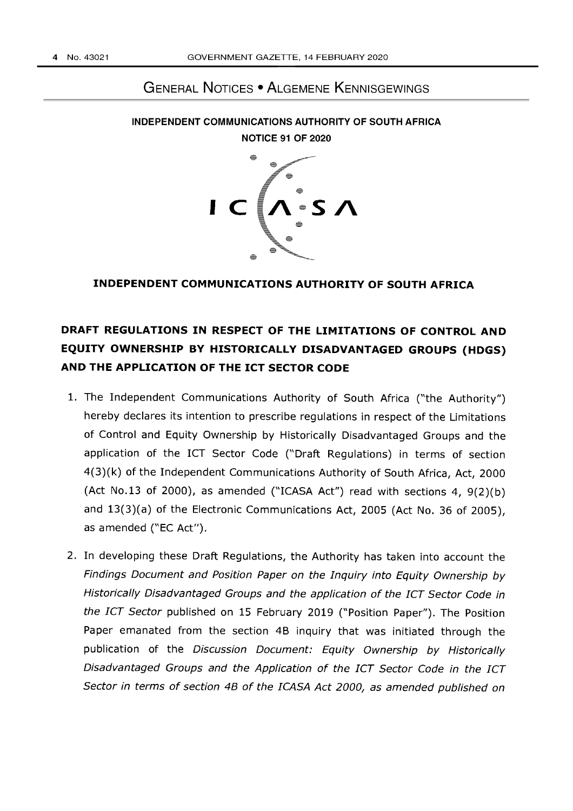## GENERAL NOTICES • ALGEMENE KENNISGEWINGS



INDEPENDENT COMMUNICATIONS AUTHORITY OF SOUTH AFRICA NOTICE 91 OF 2020

#### **INDEPENDENT COMMUNICATIONS AUTHORITY OF SOUTH AFRICA**

# **DRAFT REGULATIONS IN RESPECT OF THE LIMITATIONS OF CONTROL AND EQUITY OWNERSHIP BY HISTORICALLY DISADVANTAGED GROUPS (HDGS) AND THE APPLICATION OF THE ICT SECTOR CODE**

- 1. The Independent Communications Authority of South Africa ("the Authority") hereby declares its intention to prescribe regulations in respect of the Limitations of Control and Equity Ownership by Historically Disadvantaged Groups and the application of the ICT Sector Code ("Draft Regulations) in terms of section 4(3)(k) of the Independent Communications Authority of South Africa, Act, 2000 (Act No.13 of 2000), as amended ("ICASA Act") read with sections 4, 9(2)(b) and 13(3)(a) of the Electronic Communications Act, 2005 (Act No. 36 of 2005), as amended ("EC Act").
- 2. In developing these Draft Regulations, the Authority has taken into account the Findings Document and Position Paper on the Inquiry into Equity Ownership by Historically Disadvantaged Groups and the application of the ICT Sector Code in the ICT Sector published on 15 February 2019 ("Position Paper"). The Position Paper emanated from the section 4B inquiry that was initiated through the publication of the Discussion Document: Equity Ownership by Historically Disadvantaged Groups and the Application of the ICT Sector Code in the ICT Sector in terms of section 48 of the ICASA Act 2000, as amended published on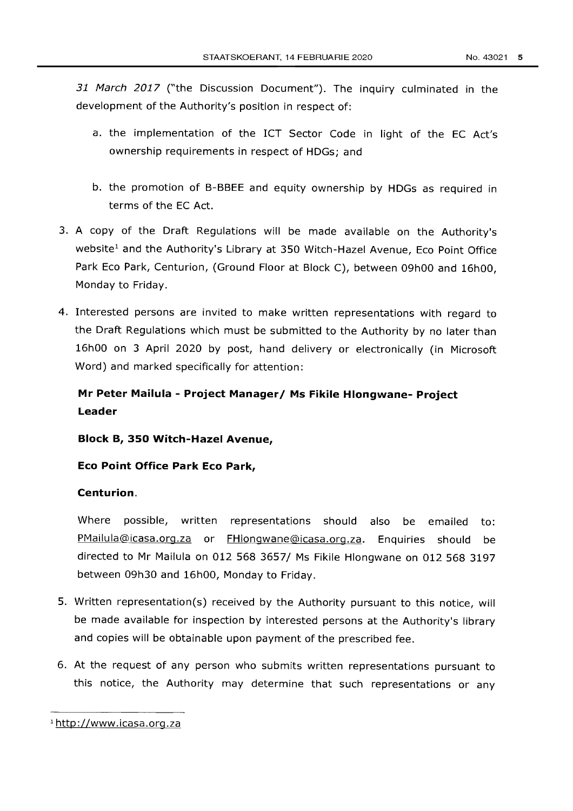31 March 2017 ("the Discussion Document"). The inquiry culminated in the development of the Authority's position in respect of:

- a. the implementation of the ICT Sector Code in light of the EC Act's ownership requirements in respect of HDGs; and
- b. the promotion of B-BBEE and equity ownership by HDGs as required in terms of the EC Act.
- 3. A copy of the Draft Regulations will be made available on the Authority's website<sup>1</sup> and the Authority's Library at 350 Witch-Hazel Avenue, Eco Point Office Park Eco Park, Centurion, (Ground Floor at Block C), between 09h00 and 16h00, Monday to Friday.
- 4. Interested persons are invited to make written representations with regard to the Draft Regulations which must be submitted to the Authority by no later than 16hOO on 3 April 2020 by post, hand delivery or electronically (in Microsoft Word) and marked specifically for attention:

# **Mr Peter Mailula - Project Manager/ Ms Fikile Hlongwane- Project Leader**

**Block B, 350 Witch-Hazel Avenue,** 

**Eco Point Office Park Eco Park,** 

#### **Centurion.**

Where possible, written representations should also be emailed to: PMailula@icasa.org.za or FHlongwane@icasa.org.za. Enquiries should be directed to Mr Mailula on 012 568 3657/ Ms Fikile Hlongwane on 012 568 3197 between 09h30 and 16hOO, Monday to Friday.

- 5. Written representation(s) received by the Authority pursuant to this notice, will be made available for inspection by interested persons at the Authority's library and copies will be obtainable upon payment of the prescribed fee.
- 6. At the request of any person who submits written representations pursuant to this notice, the Authority may determine that such representations or any

<sup>1</sup> http://www.icasa.org.za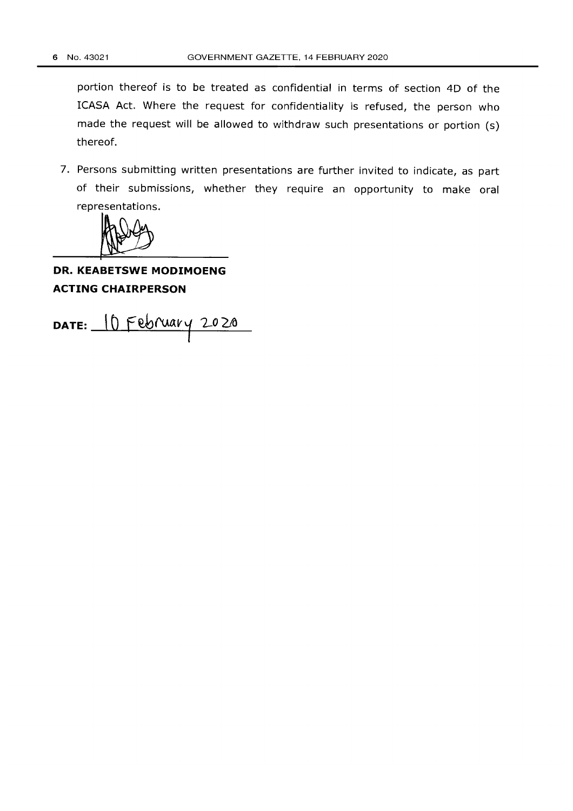portion thereof is to be treated as confidential in terms of section 4D of the ICASA Act. Where the request for confidentiality is refused, the person who made the request will be allowed to withdraw such presentations or portion (s) thereof.

7. Persons submitting written presentations are further invited to indicate, as part of their submissions, whether they require an opportunity to make oral representations.

# **DR. KEABETSWE MODIMOENG ACTING CHAIRPERSON**

DATE: 10 February 2020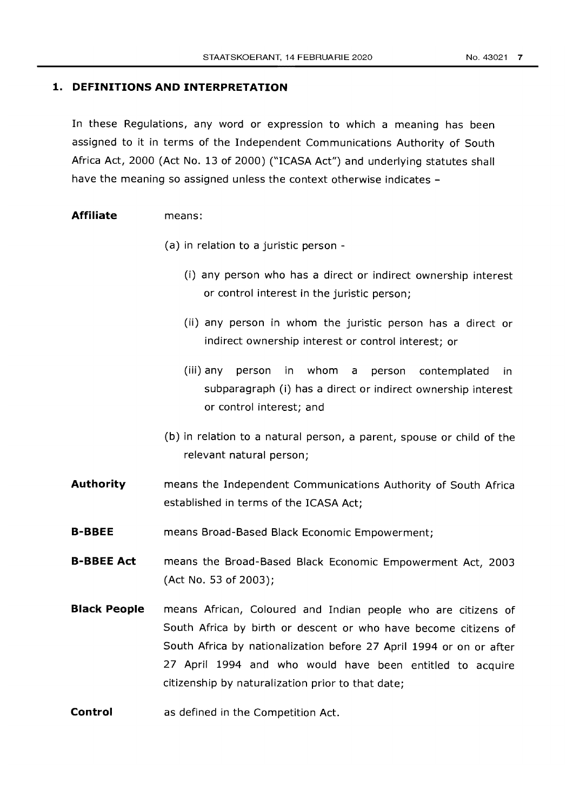#### **1. DEFINITIONS AND INTERPRETATION**

In these Regulations, any word or expression to which a meaning has been assigned to it in terms of the Independent Communications Authority of South Africa Act, 2000 (Act No. 13 of 2000) ("ICASA Act") and underlying statutes shall have the meaning so assigned unless the context otherwise indicates -

#### **Affiliate**  means:

- (a) in relation to a juristic person
	- (i) any person who has a direct or indirect ownership interest or control interest in the juristic person;
	- (ii) any person in whom the juristic person has a direct or indirect ownership interest or control interest; or
	- (iii) any person in whom a person contemplated in subparagraph (i) has a direct or indirect ownership interest or control interest; and
- (b) in relation to a natural person, a parent, spouse or child of the relevant natural person;
- **Authority**  means the Independent Communications Authority of South Africa established in terms of the ICASA Act;
- **B-BBEE**  means Broad-Based Black Economic Empowerment;
- **B-BBEE Act**  means the Broad-Based Black Economic Empowerment Act, 2003 (Act No. 53 of 2003);
- **Black People**  means African, Coloured and Indian people who are citizens of South Africa by birth or descent or who have become citizens of South Africa by nationalization before 27 April 1994 or on or after 27 April 1994 and who would have been entitled to acquire citizenship by naturalization prior to that date;
- **Control**  as defined in the Competition Act.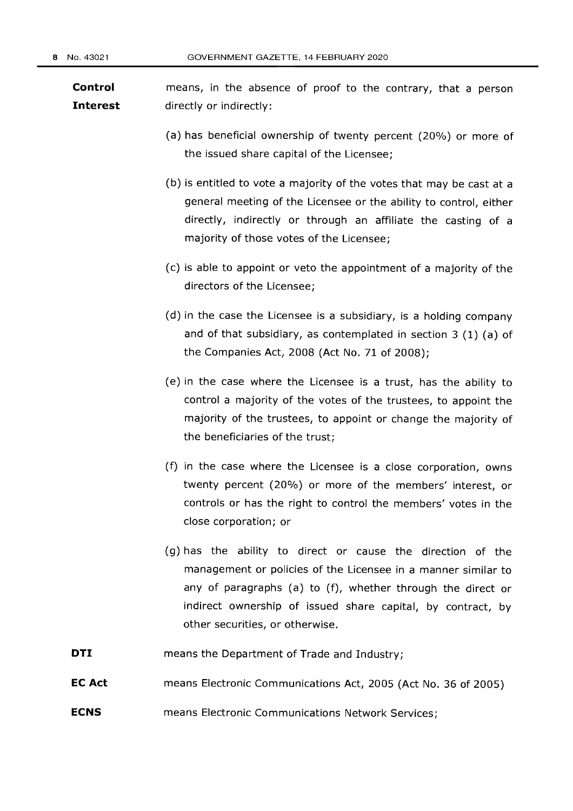**Control Interest**  means, in the absence of proof to the contrary, that a person directly or indirectly:

- (a) has beneficial ownership of twenty percent (20%) or more of the issued share capital of the Licensee;
- (b) is entitled to vote a majority of the votes that may be cast at a general meeting of the Licensee or the ability to control, either directly, indirectly or through an affiliate the casting of a majority of those votes of the Licensee;
- (c) is able to appoint or veto the appointment of a majority of the directors of the Licensee;
- (d) in the case the Licensee is a subsidiary, is a holding company and of that subsidiary, as contemplated in section 3 (1) (a) of the Companies Act, 2008 (Act No. 71 of 2008);
- (e) in the case where the Licensee is a trust, has the ability to control a majority of the votes of the trustees, to appoint the majority of the trustees, to appoint or change the majority of the beneficiaries of the trust;
- (f) in the case where the Licensee is a close corporation, owns twenty percent (20%) or more of the members' interest, or controls or has the right to control the members' votes in the close corporation; or
- (g) has the ability to direct or cause the direction of the management or policies of the Licensee in a manner similar to any of paragraphs (a) to (f), whether through the direct or indirect ownership of issued share capital, by contract, by other securities, or otherwise.
- **DTI**  means the Department of Trade and Industry;
- **EC Act**  means Electronic Communications Act, 2005 (Act No. 36 of 2005)
- **ECNS**  means Electronic Communications Network Services;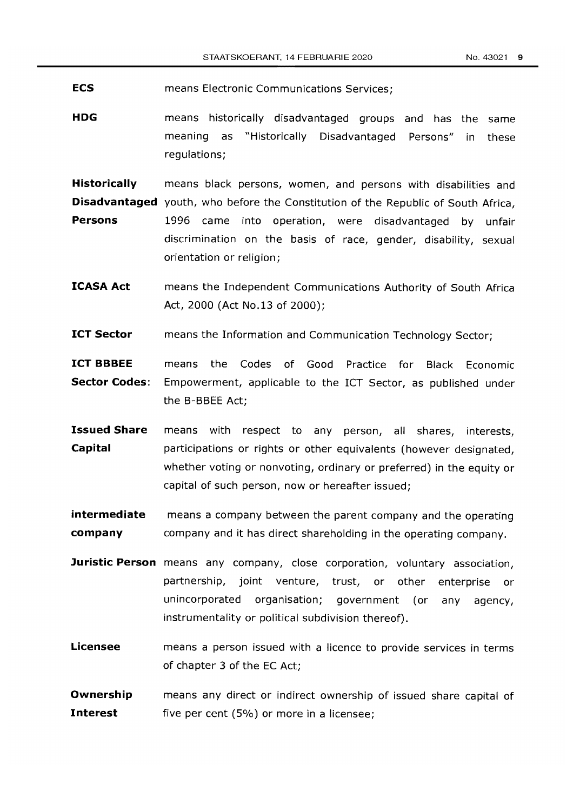**ECS**  means Electronic Communications Services;

**HDG**  means historically disadvantaged groups and has the same meaning as "Historically Disadvantaged Persons" in these regulations;

**Historically** means black persons, women, and persons with disabilities and

**Disadvantaged** youth, who before the Constitution of the Republic of South Africa,

- **Persons** 1996 came into operation, were disadvantaged by unfair discrimination on the basis of race, gender, disability, sexual orientation or religion;
- **ICASA Act**  means the Independent Communications Authority of South Africa Act, 2000 (Act No.13 of 2000);
- **ICT Sector**  means the Information and Communication Technology Sector;
- **ICT BBBEE Sector Codes:**  means the Codes of Good Practice for Black Economic Empowerment, applicable to the ICT Sector, as published under the B-BBEE Act;
- **Issued Share Capital**  means with respect to any person, all shares, interests, participations or rights or other equivalents (however designated, whether voting or nonvoting, ordinary or preferred) in the equity or capital of such person, now or hereafter issued;

**intermediate company**  means a company between the parent company and the operating company and it has direct shareholding in the operating company.

- **Juristic Person** means any company, close corporation, voluntary association, partnership, joint venture, trust, or other enterprise or unincorporated organisation; government (or any agency, instrumentality or political subdivision thereof).
- **Licensee**  means a person issued with a licence to provide services in terms of chapter 3 of the EC Act;
- **Ownership Interest**  means any direct or indirect ownership of issued share capital of five per cent (5%) or more in a licensee;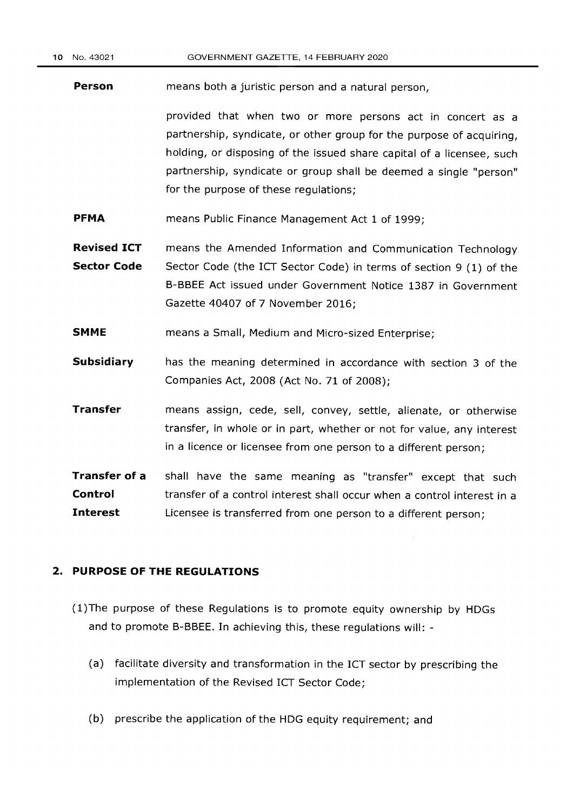**Person**  means both a juristic person and a natural person,

> provided that when two or more persons act in concert as a partnership, syndicate, or other group for the purpose of acquiring, holding, or disposing of the issued share capital of a licensee, such partnership, syndicate or group shall be deemed a single "person" for the purpose of these regulations;

- **PFMA**  means Public Finance Management Act 1 of 1999;
- **Revised ICT Sector Code**  means the Amended Information and Communication Technology Sector Code (the ICT Sector Code) in terms of section 9 (1) of the B-BBEE Act issued under Government Notice 1387 in Government Gazette 40407 of 7 November 2016;
- **SMME**  means a Small, Medium and Micro-sized Enterprise;
- **Subsidiary**  has the meaning determined in accordance with section 3 of the Companies Act, 2008 (Act No. 71 of 2008);
- **Transfer**  means assign, cede, sell, convey, settle, alienate, or otherwise transfer, in whole or in part, whether or not for value, any interest in a licence or licensee from one person to a different person;

**Transfer of a Control Interest**  shall have the same meaning as "transfer" except that such transfer of a control interest shall occur when a control interest in a Licensee is transferred from one person to a different person;

#### **2. PURPOSE OF THE REGULATIONS**

- (l)The purpose of these Regulations is to promote equity ownership by HDGs and to promote B-BBEE. In achieving this, these regulations will: -
	- (a) facilitate diversity and transformation in the ICT sector by prescribing the implementation of the Revised ICT Sector Code;
	- (b) prescribe the application of the HDG equity requirement; and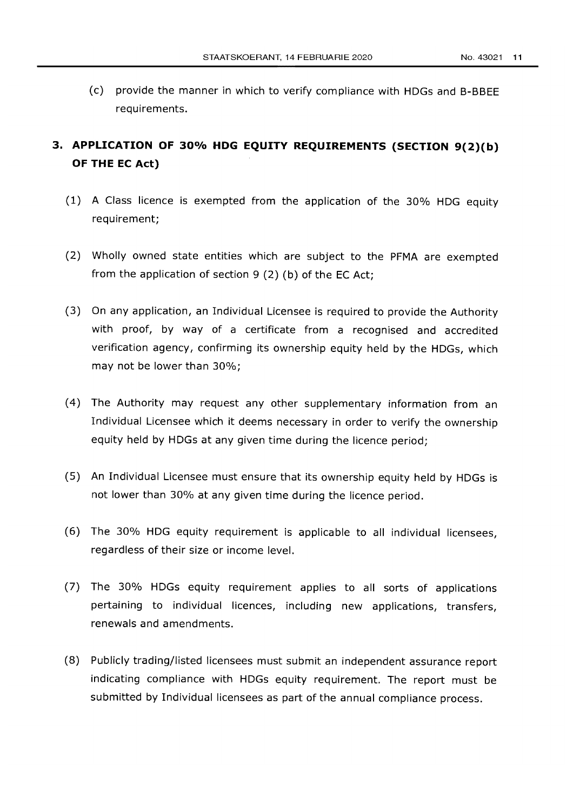(c) provide the manner in which to verify compliance with HOGs and B-BBEE requirements.

# **3. APPLICATION OF 30% HDG EQUITY REQUIREMENTS (SECTION 9(2)(b) OF THE EC Act)**

- (1) A Class licence is exempted from the application of the 30% HOG equity requirement;
- (2) Wholly owned state entities which are subject to the PFMA are exempted from the application of section 9 (2) (b) of the EC Act;
- (3) On any application, an Individual Licensee is required to provide the Authority with proof, by way of a certificate from a recognised and accredited verification agency, confirming its ownership equity held by the HOGs, which may not be lower than 30%;
- (4) The Authority may request any other supplementary information from an Individual Licensee which it deems necessary in order to verify the ownership equity held by HOGs at any given time during the licence period;
- (5) An Individual Licensee must ensure that its ownership equity held by HOGs is not lower than 30% at any given time during the licence period.
- (6) The 30% HOG equity requirement is applicable to all individual licensees, regardless of their size or income level.
- (7) The 30% HOGs equity requirement applies to all sorts of applications pertaining to individual licences, including new applications, transfers, renewals and amendments.
- (8) Publicly trading/listed licensees must submit an independent assurance report indicating compliance with HOGs equity requirement. The report must be submitted by Individual licensees as part of the annual compliance process.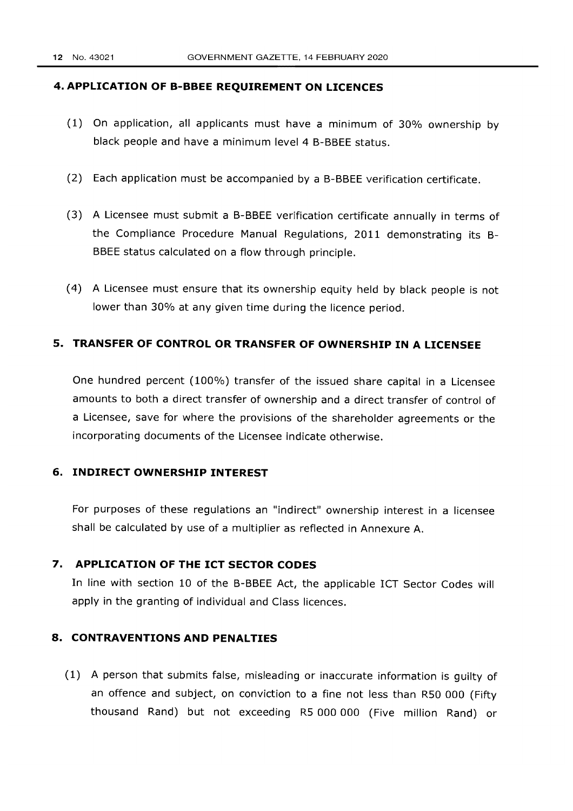#### **4. APPLICATION OF B-BBEE REQUIREMENT ON LICENCES**

- (1) On application, all applicants must have a minimum of 30% ownership by black people and have a minimum level 4 B-BBEE status.
- (2) Each application must be accompanied by a B-BBEE verification certificate.
- (3) A Licensee must submit a B-BBEE verification certificate annually in terms of the Compliance Procedure Manual Regulations, 2011 demonstrating its B-BBEE status calculated on a flow through principle.
- (4) A Licensee must ensure that its ownership equity held by black people is not lower than 30% at any given time during the licence period.

#### **5. TRANSFER OF CONTROL OR TRANSFER OF OWNERSHIP IN A LICENSEE**

One hundred percent (100%) transfer of the issued share capital in a Licensee amounts to both a direct transfer of ownership and a direct transfer of control of a Licensee, save for where the provisions of the shareholder agreements or the incorporating documents of the Licensee indicate otherwise.

#### **6. INDIRECT OWNERSHIP INTEREST**

For purposes of these regulations an "indirect" ownership interest in a licensee shall be calculated by use of a multiplier as reflected in Annexure A.

### **7. APPLICATION OF THE ICT SECTOR CODES**

In line with section 10 of the B-BBEE Act, the applicable ICT Sector Codes will apply in the granting of individual and Class licences.

### **8. CONTRAVENTIONS AND PENALTIES**

(1) A person that submits false, misleading or inaccurate information is guilty of an offence and subject, on conviction to a fine not less than RSO 000 (Fifty thousand Rand) but not exceeding RS 000 000 (Five million Rand) or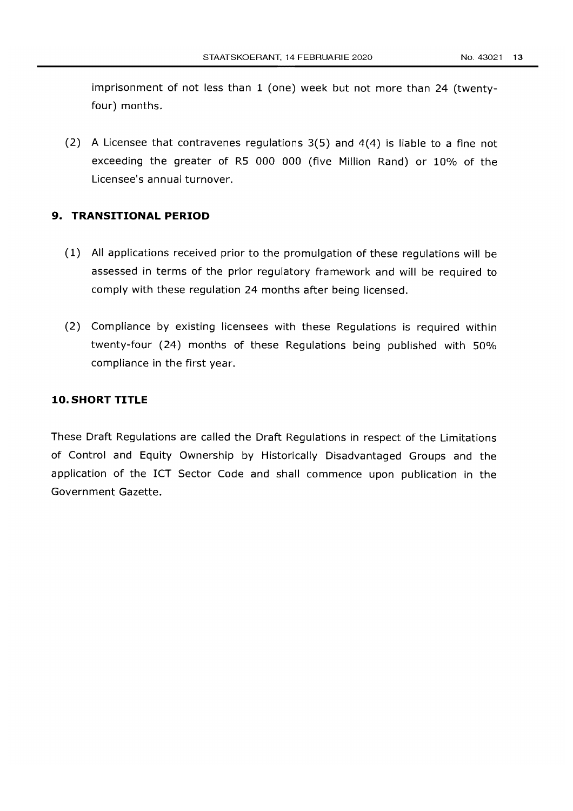imprisonment of not less than 1 (one) week but not more than 24 (twentyfour) months.

(2) A Licensee that contravenes regulations 3(5) and 4(4) is liable to a fine not exceeding the greater of R5 000 000 (five Million Rand) or 10% of the Licensee's annual turnover.

#### **9. TRANSITIONAL PERIOD**

- (1) All applications received prior to the promulgation of these regulations will be assessed in terms of the prior regulatory framework and will be required to comply with these regulation 24 months after being licensed.
- (2) Compliance by existing licensees with these Regulations is required within twenty-four (24) months of these Regulations being published with 50% compliance in the first year.

### **10. SHORT TITLE**

These Draft Regulations are called the Draft Regulations in respect of the Limitations of Control and Equity Ownership by Historically Disadvantaged Groups and the application of the ICT Sector Code and shall commence upon publication in the Government Gazette.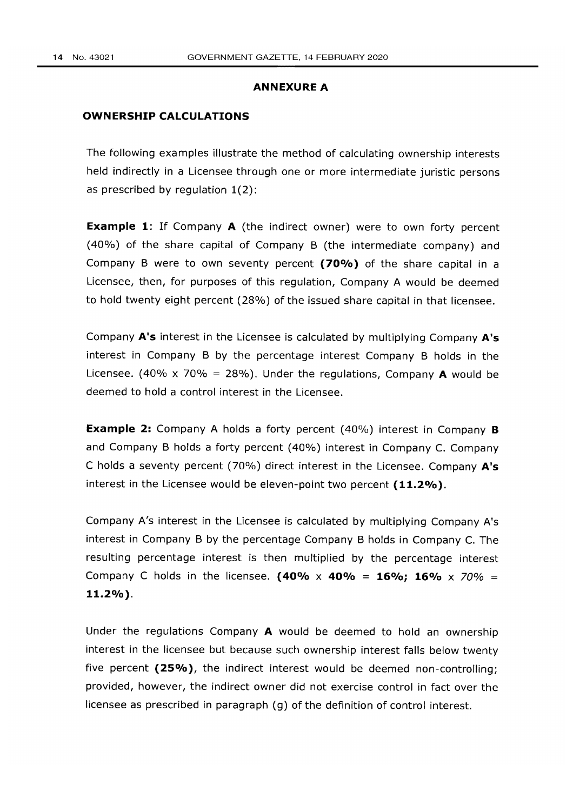#### **ANNEXURE A**

#### **OWNERSHIP CALCULATIONS**

The following examples illustrate the method of calculating ownership interests held indirectly in a Licensee through one or more intermediate juristic persons as prescribed by regulation 1(2):

**Example 1:** If Company A (the indirect owner) were to own forty percent (40%) of the share capital of Company B (the intermediate company) and Company B were to own seventy percent **(70%)** of the share capital in a Licensee, then, for purposes of this regulation, Company A would be deemed to hold twenty eight percent (28%) of the issued share capital in that licensee.

Company **A's** interest in the Licensee is calculated by multiplying Company **A's**  interest in Company B by the percentage interest Company B holds in the Licensee. (40% x 70% = 28%). Under the regulations, Company A would be deemed to hold a control interest in the Licensee.

**Example 2:** Company A holds a forty percent (40%) interest in Company **B** and Company B holds a forty percent (40%) interest in Company C. Company C holds a seventy percent (70%) direct interest in the Licensee. Company **A's**  interest in the Licensee would be eleven-point two percent **(11.2%).** 

Company A's interest in the Licensee is calculated by multiplying Company A's interest in Company B by the percentage Company B holds in Company C. The resulting percentage interest is then multiplied by the percentage interest Company C holds in the licensee. **(40% x 40% = 160/0; 160/0** x 70% *=*  **11.2%).** 

Under the regulations Company A would be deemed to hold an ownership interest in the licensee but because such ownership interest falls below twenty five percent (25%), the indirect interest would be deemed non-controlling; provided, however, the indirect owner did not exercise control in fact over the licensee as prescribed in paragraph (g) of the definition of control interest.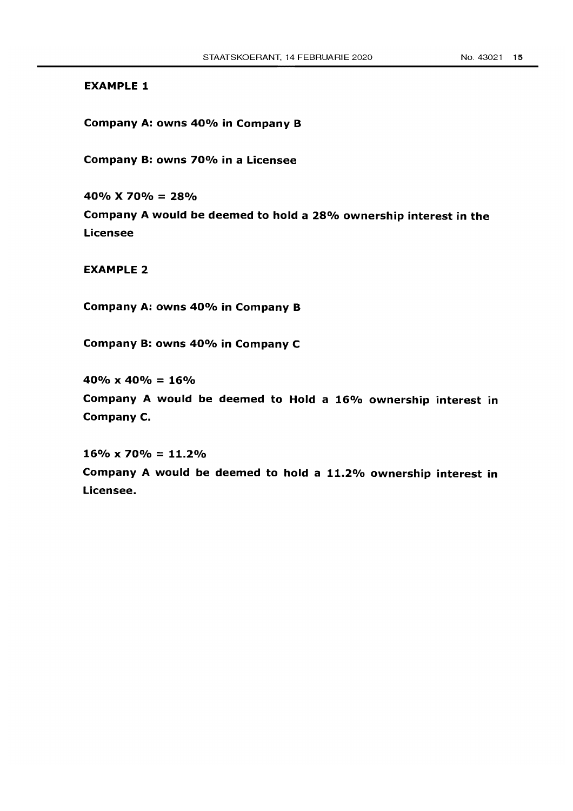#### EXAMPLE 1

Company A: owns 40% in Company B

Company B: owns 70% in a Licensee

40%  $X$  70% = 28% Company A would be deemed to hold a 28% ownership interest in the Licensee

EXAMPLE 2

Company A: owns 40% in Company B

Company B: owns 40% in Company C

 $40\% \times 40\% = 16\%$ 

Company A would be deemed to Hold a 16% ownership interest in Company C.

 $16\% \times 70\% = 11.2\%$ Company A would be deemed to hold a 11.2% ownership interest in Licensee.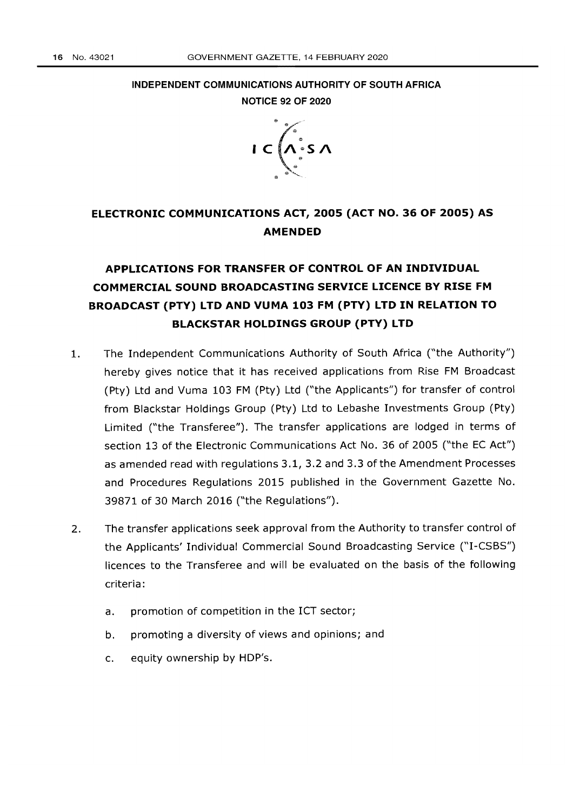INDEPENDENT COMMUNICATIONS AUTHORITY OF SOUTH AFRICA NOTICE 92 OF 2020



# ELECTRONIC COMMUNICATIONS ACT, 2005 (ACT NO. 36 OF 2005) AS AMENDED

# APPLICATIONS FOR TRANSFER OF CONTROL OF AN INDIVIDUAL COMMERCIAL SOUND BROADCASTING SERVICE LICENCE BY RISE FM BROADCAST (PTY) LTD AND VUMA 103 FM (PTY) LTD IN RELATION TO BLACKSTAR HOLDINGS GROUP (PTY) LTD

- 1. The Independent Communications Authority of South Africa ("the Authority") hereby gives notice that it has received applications from Rise FM Broadcast (Pty) Ltd and Vuma 103 FM (Pty) Ltd ("the Applicants") for transfer of control from Blackstar Holdings Group (Pty) Ltd to Lebashe Investments Group (Pty) Limited ("the Transferee"). The transfer applications are lodged in terms of section 13 of the Electronic Communications Act No. 36 of 2005 ("the EC Act") as amended read with regulations 3.1, 3.2 and 3.3 of the Amendment Processes and Procedures Regulations 2015 published in the Government Gazette No. 39871 of 30 March 2016 ("the Regulations").
- 2. The transfer applications seek approval from the Authority to transfer control of the Applicants' Individual Commercial Sound Broadcasting Service ("I-CSBS") licences to the Transferee and will be evaluated on the basis of the following criteria:
	- a. promotion of competition in the ICT sector;
	- b. promoting a diversity of views and opinions; and
	- c. equity ownership by HDP's.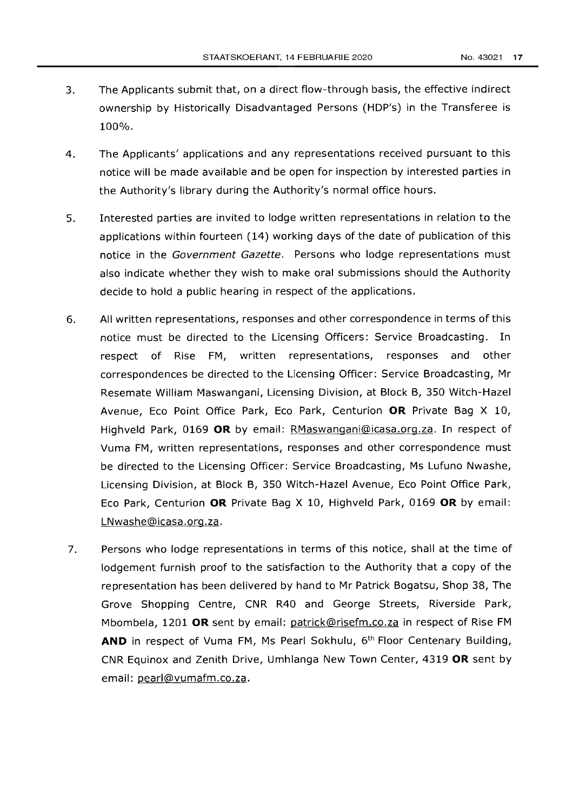- 3. The Applicants submit that, on a direct flow-through basis, the effective indirect ownership by Historically Disadvantaged Persons (HDP's) in the Transferee is 100%.
- 4. The Applicants' applications and any representations received pursuant to this notice will be made available and be open for inspection by interested parties in the Authority's library during the Authority's normal office hours.
- 5. Interested parties are invited to lodge written representations in relation to the applications within fourteen (14) working days of the date of publication of this notice in the Government Gazette. Persons who lodge representations must also indicate whether they wish to make oral submissions should the Authority decide to hold a public hearing in respect of the applications.
- 6. All written representations, responses and other correspondence in terms of this notice must be directed to the Licensing Officers: Service Broadcasting. In respect of Rise FM, written representations, responses and other correspondences be directed to the Licensing Officer: Service Broadcasting, Mr Resemate William Maswangani, Licensing Division, at Block B, 350 Witch-Hazel Avenue, Eco Point Office Park, Eco Park, Centurion **OR** Private Bag X 10, Highveld Park, 0169 **OR** by email: RMaswangani@icasa.org.za. In respect of Vuma FM, written representations, responses and other correspondence must be directed to the Licensing Officer: Service Broadcasting, Ms Lufuno Nwashe, Licensing Division, at Block B, 350 Witch-Hazel Avenue, Eco Point Office Park, Eco Park, Centurion **OR** Private Bag X 10, Highveld Park, 0169 **OR** by email: LNwashe@icasa.org.za.
- 7. Persons who lodge representations in terms of this notice, shall at the time of lodgement furnish proof to the satisfaction to the Authority that a copy of the representation has been delivered by hand to Mr Patrick Bogatsu, Shop 38, The Grove Shopping Centre, CNR R40 and George Streets, Riverside Park, Mbombela, 1201 **OR** sent by email: patrick@risefm.co.zain respect of Rise FM **AND** in respect of Vuma FM, Ms Pearl Sokhulu, 6th Floor Centenary Building, CNR Equinox and Zenith Drive, Umhlanga New Town Center, 4319 **OR** sent by email: pearl@vumafm.co.za.